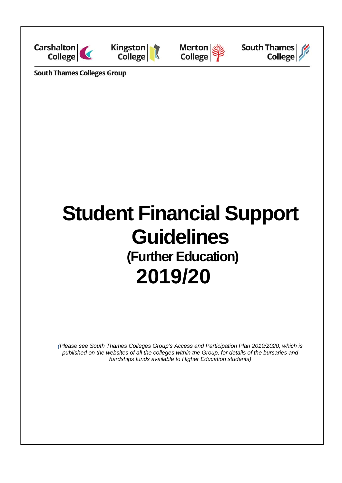







**South Thames Colleges Group** 

# **Student Financial Support Guidelines (Further Education) 2019/20**

*(Please see South Thames Colleges Group's Access and Participation Plan 2019/2020, which is published on the websites of all the colleges within the Group, for details of the bursaries and hardships funds available to Higher Education students)*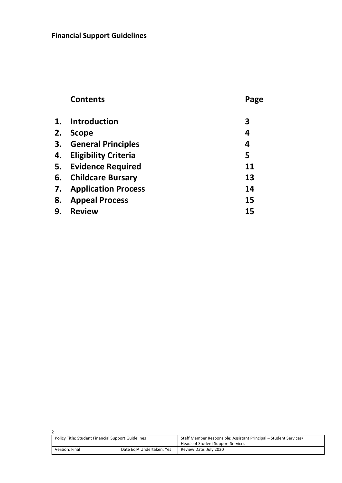|    | <b>Contents</b>               | Page |
|----|-------------------------------|------|
|    | 1. Introduction               | 3    |
| 2. | <b>Scope</b>                  | 4    |
|    | 3. General Principles         | 4    |
|    | 4. Eligibility Criteria       | 5    |
|    | 5. Evidence Required          | 11   |
|    | 6. Childcare Bursary          | 13   |
|    | <b>7.</b> Application Process | 14   |
| 8. | <b>Appeal Process</b>         | 15   |
| 9. | <b>Review</b>                 | 15   |
|    |                               |      |

| Policy Title: Student Financial Support Guidelines |                           | Staff Member Responsible: Assistant Principal – Student Services/<br>Heads of Student Support Services |
|----------------------------------------------------|---------------------------|--------------------------------------------------------------------------------------------------------|
| Version: Final                                     | Date EgIA Undertaken: Yes | Review Date: July 2020                                                                                 |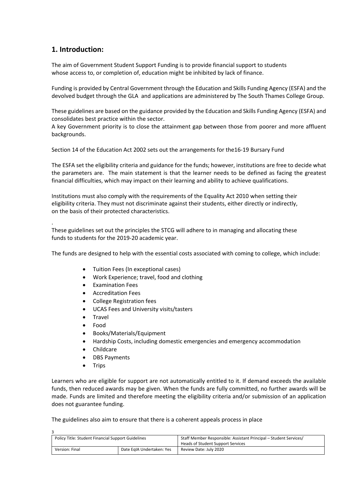# **1. Introduction:**

The aim of Government Student Support Funding is to provide financial support to students whose access to, or completion of, education might be inhibited by lack of finance.

Funding is provided by Central Government through the Education and Skills Funding Agency (ESFA) and the devolved budget through the GLA and applications are administered by The South Thames College Group.

These guidelines are based on the guidance provided by the Education and Skills Funding Agency (ESFA) and consolidates best practice within the sector.

A key Government priority is to close the attainment gap between those from poorer and more affluent backgrounds.

Section 14 of the Education Act 2002 sets out the arrangements for the16‐19 Bursary Fund

The ESFA set the eligibility criteria and guidance for the funds; however, institutions are free to decide what the parameters are. The main statement is that the learner needs to be defined as facing the greatest financial difficulties, which may impact on their learning and ability to achieve qualifications.

Institutions must also comply with the requirements of the Equality Act 2010 when setting their eligibility criteria. They must not discriminate against their students, either directly or indirectly, on the basis of their protected characteristics.

. These guidelines set out the principles the STCG will adhere to in managing and allocating these funds to students for the 2019‐20 academic year.

The funds are designed to help with the essential costs associated with coming to college, which include:

- Tuition Fees (In exceptional cases)
- Work Experience; travel, food and clothing
- Examination Fees
- Accreditation Fees
- College Registration fees
- UCAS Fees and University visits/tasters
- **Travel**
- Food
- Books/Materials/Equipment
- Hardship Costs, including domestic emergencies and emergency accommodation
- Childcare
- DBS Payments
- Trips

 $\overline{a}$ 

Learners who are eligible for support are not automatically entitled to it. If demand exceeds the available funds, then reduced awards may be given. When the funds are fully committed, no further awards will be made. Funds are limited and therefore meeting the eligibility criteria and/or submission of an application does not guarantee funding.

The guidelines also aim to ensure that there is a coherent appeals process in place

| <b>Policy Title: Student Financial Support Guidelines</b> |                           | Staff Member Responsible: Assistant Principal – Student Services/<br>Heads of Student Support Services |
|-----------------------------------------------------------|---------------------------|--------------------------------------------------------------------------------------------------------|
| Version: Final                                            | Date EgIA Undertaken: Yes | Review Date: July 2020                                                                                 |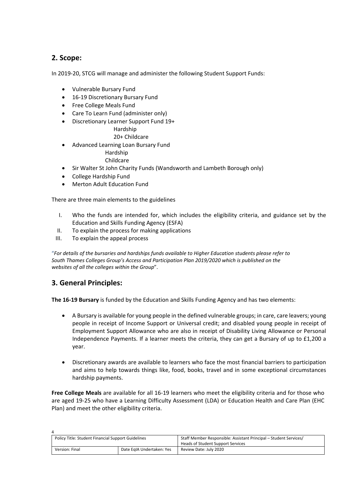# **2. Scope:**

In 2019-20, STCG will manage and administer the following Student Support Funds:

- Vulnerable Bursary Fund
- 16-19 Discretionary Bursary Fund
- Free College Meals Fund
- Care To Learn Fund (administer only)
- Discretionary Learner Support Fund 19+

Hardship

- 20+ Childcare Advanced Learning Loan Bursary Fund
	- Hardship

## Childcare

- Sir Walter St John Charity Funds (Wandsworth and Lambeth Borough only)
- College Hardship Fund
- Merton Adult Education Fund

There are three main elements to the guidelines

- I. Who the funds are intended for, which includes the eligibility criteria, and guidance set by the Education and Skills Funding Agency (ESFA)
- II. To explain the process for making applications
- III. To explain the appeal process

"*For details of the bursaries and hardships funds available to Higher Education students please refer to South Thames Colleges Group's Access and Participation Plan 2019/2020 which is published on the websites of all the colleges within the Group*".

## **3. General Principles:**

**The 16‐19 Bursary** is funded by the Education and Skills Funding Agency and has two elements:

- A Bursary is available for young people in the defined vulnerable groups; in care, care leavers; young people in receipt of Income Support or Universal credit; and disabled young people in receipt of Employment Support Allowance who are also in receipt of Disability Living Allowance or Personal Independence Payments. If a learner meets the criteria, they can get a Bursary of up to £1,200 a year.
- Discretionary awards are available to learners who face the most financial barriers to participation and aims to help towards things like, food, books, travel and in some exceptional circumstances hardship payments.

**Free College Meals** are available for all 16‐19 learners who meet the eligibility criteria and for those who are aged 19‐25 who have a Learning Difficulty Assessment (LDA) or Education Health and Care Plan (EHC Plan) and meet the other eligibility criteria.

| <b>Policy Title: Student Financial Support Guidelines</b> |                           | Staff Member Responsible: Assistant Principal – Student Services/ |
|-----------------------------------------------------------|---------------------------|-------------------------------------------------------------------|
|                                                           |                           | Heads of Student Support Services                                 |
| Version: Final                                            | Date EgIA Undertaken: Yes | Review Date: July 2020                                            |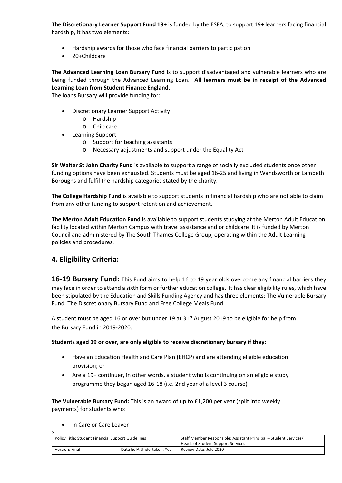**The Discretionary Learner Support Fund 19+** is funded by the ESFA, to support 19+ learners facing financial hardship, it has two elements:

- Hardship awards for those who face financial barriers to participation
- 20+Childcare

**The Advanced Learning Loan Bursary Fund** is to support disadvantaged and vulnerable learners who are being funded through the Advanced Learning Loan. **All learners must be in receipt of the Advanced Learning Loan from Student Finance England.**

The loans Bursary will provide funding for:

- Discretionary Learner Support Activity
	- o Hardship
	- o Childcare
- Learning Support
	- o Support for teaching assistants
	- o Necessary adjustments and support under the Equality Act

**Sir Walter St John Charity Fund** is available to support a range of socially excluded students once other funding options have been exhausted. Students must be aged 16‐25 and living in Wandsworth or Lambeth Boroughs and fulfil the hardship categories stated by the charity.

**The College Hardship Fund** is available to support students in financial hardship who are not able to claim from any other funding to support retention and achievement.

**The Merton Adult Education Fund** is available to support students studying at the Merton Adult Education facility located within Merton Campus with travel assistance and or childcare It is funded by Merton Council and administered by The South Thames College Group, operating within the Adult Learning policies and procedures.

# **4. Eligibility Criteria:**

**16‐19 Bursary Fund:** This Fund aims to help 16 to 19 year olds overcome any financial barriers they may face in order to attend a sixth form or further education college. It has clear eligibility rules, which have been stipulated by the Education and Skills Funding Agency and has three elements; The Vulnerable Bursary Fund, The Discretionary Bursary Fund and Free College Meals Fund.

A student must be aged 16 or over but under 19 at 31<sup>st</sup> August 2019 to be eligible for help from the Bursary Fund in 2019‐2020.

#### **Students aged 19 or over, are only eligible to receive discretionary bursary if they:**

- Have an Education Health and Care Plan (EHCP) and are attending eligible education provision; or
- Are a 19+ continuer, in other words, a student who is continuing on an eligible study programme they began aged 16‐18 (i.e. 2nd year of a level 3 course)

**The Vulnerable Bursary Fund:** This is an award of up to £1,200 per year (split into weekly payments) for students who:

In Care or Care Leaver

5

| Policy Title: Student Financial Support Guidelines |                           | Staff Member Responsible: Assistant Principal – Student Services/<br>Heads of Student Support Services |
|----------------------------------------------------|---------------------------|--------------------------------------------------------------------------------------------------------|
| Version: Final                                     | Date EgIA Undertaken: Yes | Review Date: July 2020                                                                                 |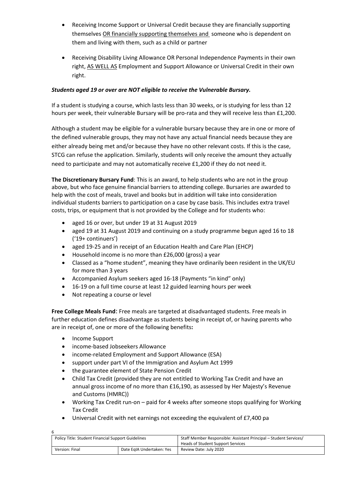- Receiving Income Support or Universal Credit because they are financially supporting themselves OR financially supporting themselves and someone who is dependent on them and living with them, such as a child or partner
- Receiving Disability Living Allowance OR Personal Independence Payments in their own right, AS WELL AS Employment and Support Allowance or Universal Credit in their own right.

## *Students aged 19 or over are NOT eligible to receive the Vulnerable Bursary.*

If a student is studying a course, which lasts less than 30 weeks, or is studying for less than 12 hours per week, their vulnerable Bursary will be pro-rata and they will receive less than £1,200.

Although a student may be eligible for a vulnerable bursary because they are in one or more of the defined vulnerable groups, they may not have any actual financial needs because they are either already being met and/or because they have no other relevant costs. If this is the case, STCG can refuse the application. Similarly, students will only receive the amount they actually need to participate and may not automatically receive £1,200 if they do not need it.

**The Discretionary Bursary Fund**: This is an award, to help students who are not in the group above, but who face genuine financial barriers to attending college. Bursaries are awarded to help with the cost of meals, travel and books but in addition will take into consideration individual students barriers to participation on a case by case basis. This includes extra travel costs, trips, or equipment that is not provided by the College and for students who:

- aged 16 or over, but under 19 at 31 August 2019
- aged 19 at 31 August 2019 and continuing on a study programme begun aged 16 to 18 ('19+ continuers')
- aged 19-25 and in receipt of an Education Health and Care Plan (EHCP)
- Household income is no more than £26,000 (gross) a year
- Classed as a "home student", meaning they have ordinarily been resident in the UK/EU for more than 3 years
- Accompanied Asylum seekers aged 16‐18 (Payments "in kind" only)
- 16-19 on a full time course at least 12 guided learning hours per week
- Not repeating a course or level

**Free College Meals Fund**: Free meals are targeted at disadvantaged students. Free meals in further education defines disadvantage as students being in receipt of, or having parents who are in receipt of, one or more of the following benefits**:**

- Income Support
- income-based Jobseekers Allowance
- income‐related Employment and Support Allowance (ESA)
- support under part VI of the Immigration and Asylum Act 1999
- the guarantee element of State Pension Credit
- Child Tax Credit (provided they are not entitled to Working Tax Credit and have an annual gross income of no more than £16,190, as assessed by Her Majesty's Revenue and Customs (HMRC))
- Working Tax Credit run-on paid for 4 weeks after someone stops qualifying for Working Tax Credit
- Universal Credit with net earnings not exceeding the equivalent of £7,400 pa

| <b>Policy Title: Student Financial Support Guidelines</b> |                           | Staff Member Responsible: Assistant Principal – Student Services/ |  |
|-----------------------------------------------------------|---------------------------|-------------------------------------------------------------------|--|
|                                                           |                           | Heads of Student Support Services                                 |  |
| Version: Final                                            | Date EgIA Undertaken: Yes | Review Date: July 2020                                            |  |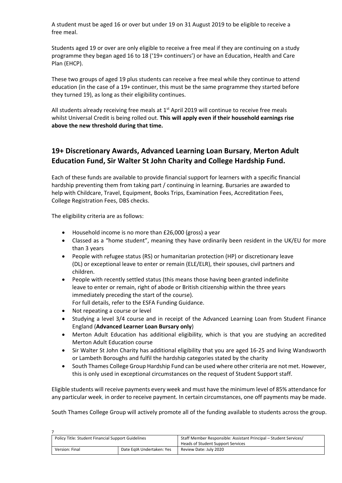A student must be aged 16 or over but under 19 on 31 August 2019 to be eligible to receive a free meal.

Students aged 19 or over are only eligible to receive a free meal if they are continuing on a study programme they began aged 16 to 18 ('19+ continuers') or have an Education, Health and Care Plan (EHCP).

These two groups of aged 19 plus students can receive a free meal while they continue to attend education (in the case of a 19+ continuer, this must be the same programme they started before they turned 19), as long as their eligibility continues.

All students already receiving free meals at 1<sup>st</sup> April 2019 will continue to receive free meals whilst Universal Credit is being rolled out. **This will apply even if their household earnings rise above the new threshold during that time.**

# **19+ Discretionary Awards, Advanced Learning Loan Bursary**, **Merton Adult Education Fund, Sir Walter St John Charity and College Hardship Fund.**

Each of these funds are available to provide financial support for learners with a specific financial hardship preventing them from taking part / continuing in learning. Bursaries are awarded to help with Childcare, Travel, Equipment, Books Trips, Examination Fees, Accreditation Fees, College Registration Fees, DBS checks.

The eligibility criteria are as follows:

- Household income is no more than £26,000 (gross) a year
- Classed as a "home student", meaning they have ordinarily been resident in the UK/EU for more than 3 years
- People with refugee status (RS) or humanitarian protection (HP) or discretionary leave (DL) or exceptional leave to enter or remain (ELE/ELR), their spouses, civil partners and children.
- People with recently settled status (this means those having been granted indefinite leave to enter or remain, right of abode or British citizenship within the three years immediately preceding the start of the course). For full details, refer to the ESFA Funding Guidance.
- Not repeating a course or level

 $\overline{z}$ 

- Studying a level 3/4 course and in receipt of the Advanced Learning Loan from Student Finance England (**Advanced Learner Loan Bursary only**)
- Merton Adult Education has additional eligibility, which is that you are studying an accredited Merton Adult Education course
- Sir Walter St John Charity has additional eligibility that you are aged 16-25 and living Wandsworth or Lambeth Boroughs and fulfil the hardship categories stated by the charity
- South Thames College Group Hardship Fund can be used where other criteria are not met. However, this is only used in exceptional circumstances on the request of Student Support staff.

Eligible students will receive payments every week and must have the minimum level of 85% attendance for any particular week, in order to receive payment. In certain circumstances, one off payments may be made.

South Thames College Group will actively promote all of the funding available to students across the group.

| <b>Policy Title: Student Financial Support Guidelines</b> |                           | Staff Member Responsible: Assistant Principal – Student Services/ |
|-----------------------------------------------------------|---------------------------|-------------------------------------------------------------------|
|                                                           |                           | Heads of Student Support Services                                 |
| Version: Final                                            | Date EgIA Undertaken: Yes | Review Date: July 2020                                            |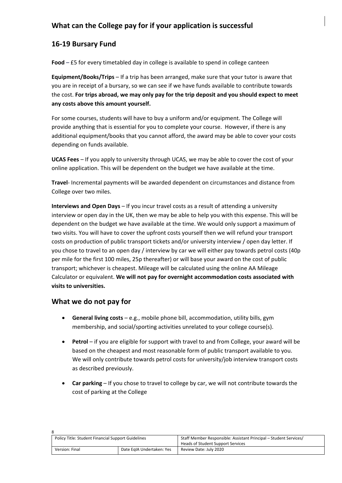# **What can the College pay for if your application is successful**

# **16‐19 Bursary Fund**

**Food** – £5 for every timetabled day in college is available to spend in college canteen

**Equipment/Books/Trips** – If a trip has been arranged, make sure that your tutor is aware that you are in receipt of a bursary, so we can see if we have funds available to contribute towards the cost. **For trips abroad, we may only pay for the trip deposit and you should expect to meet any costs above this amount yourself.**

For some courses, students will have to buy a uniform and/or equipment. The College will provide anything that is essential for you to complete your course. However, if there is any additional equipment/books that you cannot afford, the award may be able to cover your costs depending on funds available.

**UCAS Fees** – If you apply to university through UCAS, we may be able to cover the cost of your online application. This will be dependent on the budget we have available at the time.

**Travel**‐ Incremental payments will be awarded dependent on circumstances and distance from College over two miles.

**Interviews and Open Days** – If you incur travel costs as a result of attending a university interview or open day in the UK, then we may be able to help you with this expense. This will be dependent on the budget we have available at the time. We would only support a maximum of two visits. You will have to cover the upfront costs yourself then we will refund your transport costs on production of public transport tickets and/or university interview / open day letter. If you chose to travel to an open day / interview by car we will either pay towards petrol costs (40p per mile for the first 100 miles, 25p thereafter) or will base your award on the cost of public transport; whichever is cheapest. Mileage will be calculated using the online AA Mileage Calculator or equivalent. **We will not pay for overnight accommodation costs associated with visits to universities.** 

## **What we do not pay for**

 $\circ$ 

- **General living costs** e.g., mobile phone bill, accommodation, utility bills, gym membership, and social/sporting activities unrelated to your college course(s).
- **Petrol** if you are eligible for support with travel to and from College, your award will be based on the cheapest and most reasonable form of public transport available to you. We will only contribute towards petrol costs for university/job interview transport costs as described previously.
- **Car parking** If you chose to travel to college by car, we will not contribute towards the cost of parking at the College

| <b>Policy Title: Student Financial Support Guidelines</b> |                           | Staff Member Responsible: Assistant Principal – Student Services/ |  |
|-----------------------------------------------------------|---------------------------|-------------------------------------------------------------------|--|
|                                                           |                           | Heads of Student Support Services                                 |  |
| Version: Final                                            | Date EgIA Undertaken: Yes | Review Date: July 2020                                            |  |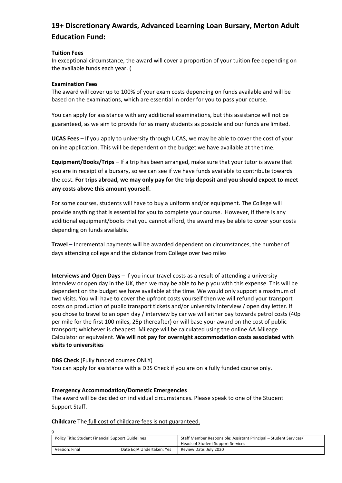# **19+ Discretionary Awards, Advanced Learning Loan Bursary, Merton Adult Education Fund:**

#### **Tuition Fees**

In exceptional circumstance, the award will cover a proportion of your tuition fee depending on the available funds each year. (

#### **Examination Fees**

The award will cover up to 100% of your exam costs depending on funds available and will be based on the examinations, which are essential in order for you to pass your course.

You can apply for assistance with any additional examinations, but this assistance will not be guaranteed, as we aim to provide for as many students as possible and our funds are limited.

**UCAS Fees** – If you apply to university through UCAS, we may be able to cover the cost of your online application. This will be dependent on the budget we have available at the time.

**Equipment/Books/Trips** – If a trip has been arranged, make sure that your tutor is aware that you are in receipt of a bursary, so we can see if we have funds available to contribute towards the cost. **For trips abroad, we may only pay for the trip deposit and you should expect to meet any costs above this amount yourself.**

For some courses, students will have to buy a uniform and/or equipment. The College will provide anything that is essential for you to complete your course. However, if there is any additional equipment/books that you cannot afford, the award may be able to cover your costs depending on funds available.

**Travel** – Incremental payments will be awarded dependent on circumstances, the number of days attending college and the distance from College over two miles

**Interviews and Open Days** – If you incur travel costs as a result of attending a university interview or open day in the UK, then we may be able to help you with this expense. This will be dependent on the budget we have available at the time. We would only support a maximum of two visits. You will have to cover the upfront costs yourself then we will refund your transport costs on production of public transport tickets and/or university interview / open day letter. If you chose to travel to an open day / interview by car we will either pay towards petrol costs (40p per mile for the first 100 miles, 25p thereafter) or will base your award on the cost of public transport; whichever is cheapest. Mileage will be calculated using the online AA Mileage Calculator or equivalent. **We will not pay for overnight accommodation costs associated with visits to universities**

**DBS Check** (Fully funded courses ONLY) You can apply for assistance with a DBS Check if you are on a fully funded course only.

#### **Emergency Accommodation/Domestic Emergencies**

 $\alpha$ 

The award will be decided on individual circumstances. Please speak to one of the Student Support Staff.

**Childcare** The full cost of childcare fees is not guaranteed.

| <b>Policy Title: Student Financial Support Guidelines</b> |                           | Staff Member Responsible: Assistant Principal – Student Services/<br>Heads of Student Support Services |
|-----------------------------------------------------------|---------------------------|--------------------------------------------------------------------------------------------------------|
| Version: Final                                            | Date EgIA Undertaken: Yes | Review Date: July 2020                                                                                 |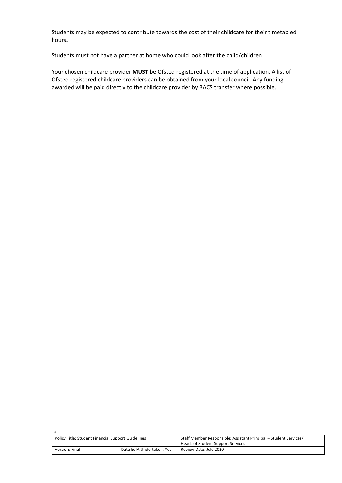Students may be expected to contribute towards the cost of their childcare for their timetabled hours**.**

Students must not have a partner at home who could look after the child/children

Your chosen childcare provider **MUST** be Ofsted registered at the time of application. A list of Ofsted registered childcare providers can be obtained from your local council. Any funding awarded will be paid directly to the childcare provider by BACS transfer where possible.

| 10                                                        |                           |                                                                   |  |
|-----------------------------------------------------------|---------------------------|-------------------------------------------------------------------|--|
| <b>Policy Title: Student Financial Support Guidelines</b> |                           | Staff Member Responsible: Assistant Principal – Student Services/ |  |
|                                                           |                           | Heads of Student Support Services                                 |  |
| Version: Final                                            | Date EgIA Undertaken: Yes | Review Date: July 2020                                            |  |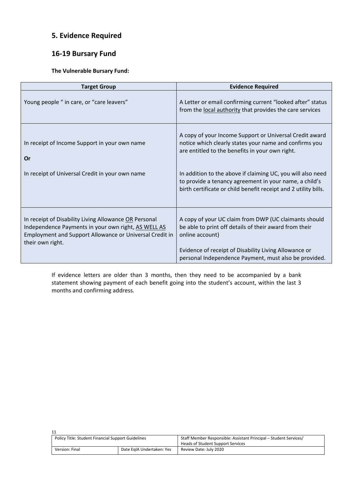# **5. Evidence Required**

# **16‐19 Bursary Fund**

#### **The Vulnerable Bursary Fund:**

| <b>Target Group</b>                                                                                                                                                                         | <b>Evidence Required</b>                                                                                                                                                                                                            |
|---------------------------------------------------------------------------------------------------------------------------------------------------------------------------------------------|-------------------------------------------------------------------------------------------------------------------------------------------------------------------------------------------------------------------------------------|
| Young people " in care, or "care leavers"                                                                                                                                                   | A Letter or email confirming current "looked after" status<br>from the local authority that provides the care services                                                                                                              |
| In receipt of Income Support in your own name<br>Or<br>In receipt of Universal Credit in your own name                                                                                      | A copy of your Income Support or Universal Credit award<br>notice which clearly states your name and confirms you<br>are entitled to the benefits in your own right.<br>In addition to the above if claiming UC, you will also need |
|                                                                                                                                                                                             | to provide a tenancy agreement in your name, a child's<br>birth certificate or child benefit receipt and 2 utility bills.                                                                                                           |
| In receipt of Disability Living Allowance OR Personal<br>Independence Payments in your own right, AS WELL AS<br>Employment and Support Allowance or Universal Credit in<br>their own right. | A copy of your UC claim from DWP (UC claimants should<br>be able to print off details of their award from their<br>online account)<br>Evidence of receipt of Disability Living Allowance or                                         |
|                                                                                                                                                                                             | personal Independence Payment, must also be provided.                                                                                                                                                                               |

If evidence letters are older than 3 months, then they need to be accompanied by a bank statement showing payment of each benefit going into the student's account, within the last 3 months and confirming address*.*

| Policy Title: Student Financial Support Guidelines |                           | Staff Member Responsible: Assistant Principal – Student Services/ |  |
|----------------------------------------------------|---------------------------|-------------------------------------------------------------------|--|
|                                                    |                           | Heads of Student Support Services                                 |  |
| Version: Final                                     | Date EgIA Undertaken: Yes | Review Date: July 2020                                            |  |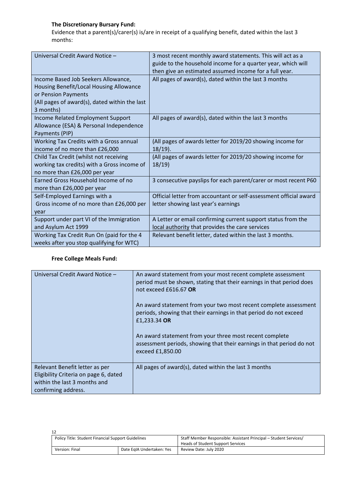## **The Discretionary Bursary Fund:**

Evidence that a parent(s)/carer(s) is/are in receipt of a qualifying benefit, dated within the last 3 months:

| Universal Credit Award Notice -               | 3 most recent monthly award statements. This will act as a<br>guide to the household income for a quarter year, which will |
|-----------------------------------------------|----------------------------------------------------------------------------------------------------------------------------|
|                                               | then give an estimated assumed income for a full year.                                                                     |
| Income Based Job Seekers Allowance,           | All pages of award(s), dated within the last 3 months                                                                      |
| Housing Benefit/Local Housing Allowance       |                                                                                                                            |
| or Pension Payments                           |                                                                                                                            |
| (All pages of award(s), dated within the last |                                                                                                                            |
| 3 months)                                     |                                                                                                                            |
| Income Related Employment Support             | All pages of award(s), dated within the last 3 months                                                                      |
| Allowance (ESA) & Personal Independence       |                                                                                                                            |
| Payments (PIP)                                |                                                                                                                            |
| Working Tax Credits with a Gross annual       | (All pages of awards letter for 2019/20 showing income for                                                                 |
| income of no more than £26,000                | $18/19$ ).                                                                                                                 |
| Child Tax Credit (whilst not receiving        | (All pages of awards letter for 2019/20 showing income for                                                                 |
| working tax credits) with a Gross income of   | 18/19                                                                                                                      |
| no more than £26,000 per year                 |                                                                                                                            |
| Earned Gross Household Income of no           | 3 consecutive payslips for each parent/carer or most recent P60                                                            |
| more than £26,000 per year                    |                                                                                                                            |
| Self-Employed Earnings with a                 | Official letter from accountant or self-assessment official award                                                          |
| Gross income of no more than £26,000 per      | letter showing last year's earnings                                                                                        |
| year                                          |                                                                                                                            |
| Support under part VI of the Immigration      | A Letter or email confirming current support status from the                                                               |
| and Asylum Act 1999                           | local authority that provides the care services                                                                            |
| Working Tax Credit Run On (paid for the 4     | Relevant benefit letter, dated within the last 3 months.                                                                   |
| weeks after you stop qualifying for WTC)      |                                                                                                                            |

## **Free College Meals Fund:**

| Universal Credit Award Notice -                                                                                                | An award statement from your most recent complete assessment<br>period must be shown, stating that their earnings in that period does<br>not exceed £616.67 OR<br>An award statement from your two most recent complete assessment<br>periods, showing that their earnings in that period do not exceed<br>£1,233.34 OR<br>An award statement from your three most recent complete<br>assessment periods, showing that their earnings in that period do not<br>exceed £1,850.00 |
|--------------------------------------------------------------------------------------------------------------------------------|---------------------------------------------------------------------------------------------------------------------------------------------------------------------------------------------------------------------------------------------------------------------------------------------------------------------------------------------------------------------------------------------------------------------------------------------------------------------------------|
| Relevant Benefit letter as per<br>Eligibility Criteria on page 6, dated<br>within the last 3 months and<br>confirming address. | All pages of award(s), dated within the last 3 months                                                                                                                                                                                                                                                                                                                                                                                                                           |

| Policy Title: Student Financial Support Guidelines |                           | Staff Member Responsible: Assistant Principal – Student Services/<br>Heads of Student Support Services |
|----------------------------------------------------|---------------------------|--------------------------------------------------------------------------------------------------------|
| Version: Final                                     | Date EgIA Undertaken: Yes | Review Date: July 2020                                                                                 |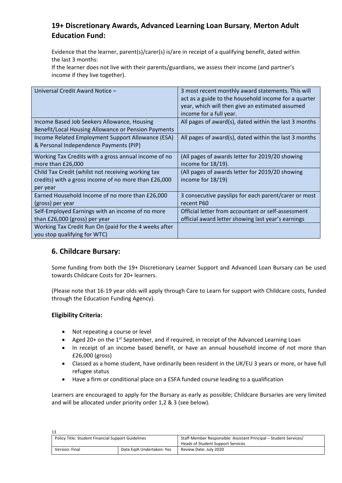# **19+ Discretionary Awards, Advanced Learning Loan Bursary**, **Merton Adult Education Fund:**

Evidence that the learner, parent(s)/carer(s) is/are in receipt of a qualifying benefit, dated within the last 3 months:

If the learner does not live with their parents/guardians, we assess their income (and partner's income if they live together).

| Universal Credit Award Notice -                                                                                        | 3 most recent monthly award statements. This will<br>act as a guide to the household income for a quarter |
|------------------------------------------------------------------------------------------------------------------------|-----------------------------------------------------------------------------------------------------------|
|                                                                                                                        | year, which will then give an estimated assumed<br>income for a full year.                                |
| Income Based Job Seekers Allowance, Housing<br>Benefit/Local Housing Allowance or Pension Payments                     | All pages of award(s), dated within the last 3 months                                                     |
| Income Related Employment Support Allowance (ESA)<br>& Personal Independence Payments (PIP)                            | All pages of award(s), dated within the last 3 months                                                     |
| Working Tax Credits with a gross annual income of no<br>more than £26,000                                              | (All pages of awards letter for 2019/20 showing<br>income for 18/19).                                     |
| Child Tax Credit (whilst not receiving working tax<br>credits) with a gross income of no more than £26,000<br>per year | (All pages of awards letter for 2019/20 showing<br>income for 18/19)                                      |
| Earned Household Income of no more than £26,000<br>(gross) per year                                                    | 3 consecutive payslips for each parent/carer or most<br>recent P60                                        |
| Self-Employed Earnings with an income of no more<br>than £26,000 (gross) per year                                      | Official letter from accountant or self-assessment<br>official award letter showing last year's earnings  |
| Working Tax Credit Run On (paid for the 4 weeks after<br>you stop qualifying for WTC)                                  |                                                                                                           |

## **6. Childcare Bursary:**

Some funding from both the 19+ Discretionary Learner Support and Advanced Loan Bursary can be used towards Childcare Costs for 20+ learners.

(Please note that 16‐19 year olds will apply through Care to Learn for support with Childcare costs, funded through the Education Funding Agency).

## **Eligibility Criteria:**

- Not repeating a course or level
- Aged 20+ on the 1<sup>st</sup> September, and if required, in receipt of the Advanced Learning Loan
- In receipt of an income based benefit, or have an annual household income of not more than £26,000 (gross)
- Classed as a home student, have ordinarily been resident in the UK/EU 3 years or more, or have full refugee status
- Have a firm or conditional place on a ESFA funded course leading to a qualification

Learners are encouraged to apply for the Bursary as early as possible; Childcare Bursaries are very limited and will be allocated under priority order 1,2 & 3 (see below).

| 13                                                        |                           |                                                                                                        |
|-----------------------------------------------------------|---------------------------|--------------------------------------------------------------------------------------------------------|
| <b>Policy Title: Student Financial Support Guidelines</b> |                           | Staff Member Responsible: Assistant Principal – Student Services/<br>Heads of Student Support Services |
| Version: Final                                            | Date EgIA Undertaken: Yes | Review Date: July 2020                                                                                 |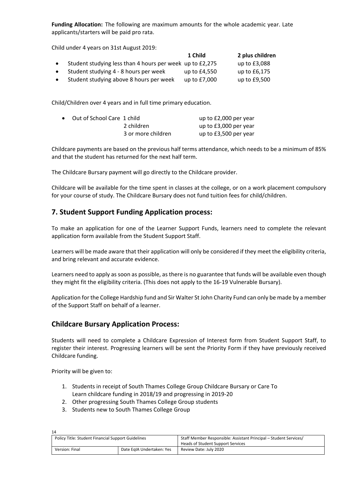**Funding Allocation:** The following are maximum amounts for the whole academic year. Late applicants/starters will be paid pro rata.

Child under 4 years on 31st August 2019:

|           |                                                          | 1 Child      | 2 plus children |
|-----------|----------------------------------------------------------|--------------|-----------------|
|           | Student studying less than 4 hours per week up to £2,275 |              | up to £3,088    |
| $\bullet$ | Student studying 4 - 8 hours per week                    | up to £4,550 | up to £6,175    |
|           | Student studying above 8 hours per week                  | up to £7,000 | up to £9,500    |

Child/Children over 4 years and in full time primary education.

| • Out of School Care 1 child |                    | up to £2,000 per year |
|------------------------------|--------------------|-----------------------|
|                              | 2 children         | up to £3,000 per year |
|                              | 3 or more children | up to £3,500 per year |

Childcare payments are based on the previous half terms attendance, which needs to be a minimum of 85% and that the student has returned for the next half term.

The Childcare Bursary payment will go directly to the Childcare provider.

Childcare will be available for the time spent in classes at the college, or on a work placement compulsory for your course of study. The Childcare Bursary does not fund tuition fees for child/children.

# **7. Student Support Funding Application process:**

To make an application for one of the Learner Support Funds, learners need to complete the relevant application form available from the Student Support Staff.

Learners will be made aware that their application will only be considered if they meet the eligibility criteria, and bring relevant and accurate evidence.

Learners need to apply as soon as possible, as there is no guarantee that funds will be available even though they might fit the eligibility criteria. (This does not apply to the 16‐19 Vulnerable Bursary).

Application for the College Hardship fund and Sir Walter St John Charity Fund can only be made by a member of the Support Staff on behalf of a learner.

## **Childcare Bursary Application Process:**

Students will need to complete a Childcare Expression of Interest form from Student Support Staff, to register their interest. Progressing learners will be sent the Priority Form if they have previously received Childcare funding.

Priority will be given to:

- 1. Students in receipt of South Thames College Group Childcare Bursary or Care To Learn childcare funding in 2018/19 and progressing in 2019‐20
- 2. Other progressing South Thames College Group students
- 3. Students new to South Thames College Group

| 14                                                        |                |                           |                                                                   |
|-----------------------------------------------------------|----------------|---------------------------|-------------------------------------------------------------------|
| <b>Policy Title: Student Financial Support Guidelines</b> |                |                           | Staff Member Responsible: Assistant Principal – Student Services/ |
|                                                           |                |                           | Heads of Student Support Services                                 |
|                                                           | Version: Final | Date EgIA Undertaken: Yes | Review Date: July 2020                                            |